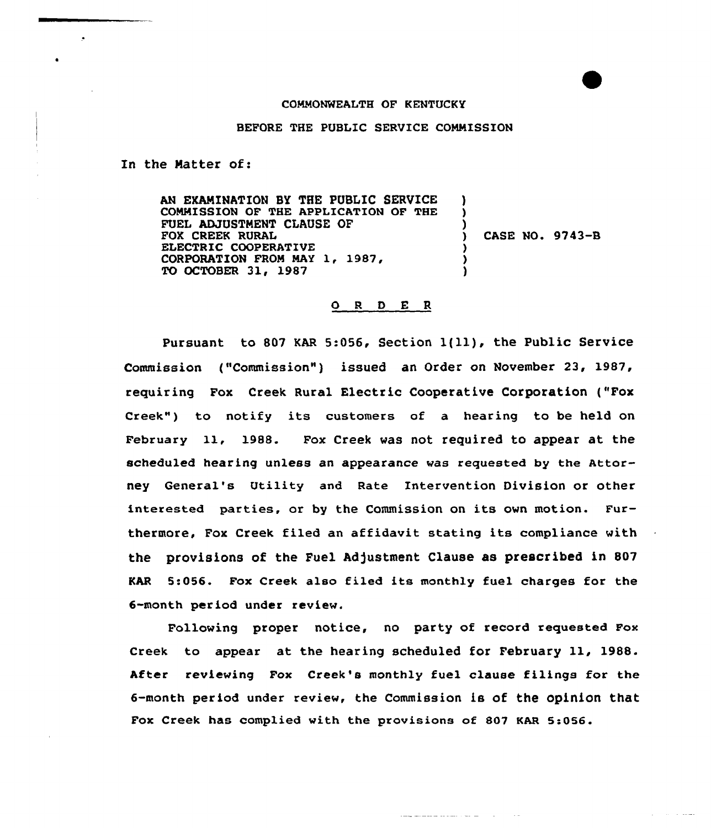## COMMONWEALTH OF KENTUCKY

BEFORE THE PUBLIC SERVICE COMMISSION

In the Natter of:

÷.

AN EKMlINATION SY THE PUBLIC SERVICE COMMISSION OF THE APPLICATION OF THE FUEL ADJUSTMENT CLAUSE OF FOX CREEK RURAL ELECTRIC COOPERATIVE CORPORATION FROM MAY 1, 1987, TO OCTOBER 31, 1987 ) ) ) ) ) )

) CASE NO. 9743-B

## $O$  R  $D$  E R

Pursuant to 807 KAR 5:056, Section  $1(11)$ , the Public Service Commission ("Commission"} issued an Order on November 23, 1987, requiring Fox Creek Rural Electric Cooperative Corporation ("Fox Creek") to notify its customers of a hearing to be held on February 11, 1988. Fox Creek was not required to appear at the scheduled hearing unless an appearance was requested by the Attorney General's Utility and Rate Interventian Division or other interested parties, ar by the Commission on its own motion. Furthermore, Fox Creek filed an affidavit stating its compliance with the provisions of the Fuel Adjustment Clause as prescribed in 807 KAR 5:056. Fox Creek also filed its monthly fuel charges for the 6-month period under review.

Following proper notice, no party of record requested Fox Creek to appear at the hearing scheduled for February 11, 1988. After reviewing Fox Creek's monthly fuel clause filings for the 6-month period under review, the Commission is of the opinion that Fox Creek has complied with the provisions of 807 KAR 5:056.